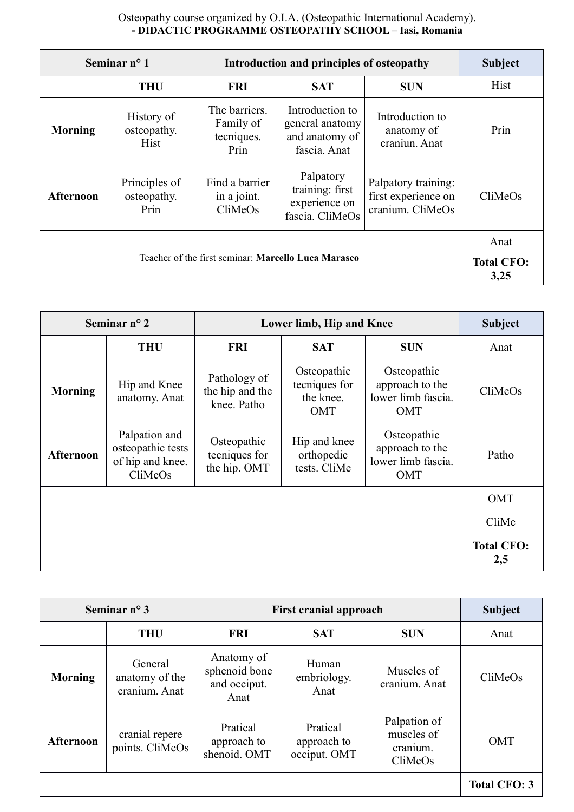## Osteopathy course organized by O.I.A. (Osteopathic International Academy). **- DIDACTIC PROGRAMME OSTEOPATHY SCHOOL – Iasi, Romania**

|                  | Seminar $n^{\circ}$ 1                | Introduction and principles of osteopathy        |                                                                      |                                                                | <b>Subject</b> |
|------------------|--------------------------------------|--------------------------------------------------|----------------------------------------------------------------------|----------------------------------------------------------------|----------------|
|                  | <b>THU</b>                           | <b>FRI</b>                                       | <b>SAT</b>                                                           | <b>SUN</b>                                                     | Hist           |
| <b>Morning</b>   | History of<br>osteopathy.<br>Hist    | The barriers.<br>Family of<br>tecniques.<br>Prin | Introduction to<br>general anatomy<br>and anatomy of<br>fascia. Anat | Introduction to<br>anatomy of<br>craniun. Anat                 | Prin           |
| <b>Afternoon</b> | Principles of<br>osteopathy.<br>Prin | Find a barrier<br>in a joint.<br>CliMeOs         | Palpatory<br>training: first<br>experience on<br>fascia. CliMeOs     | Palpatory training:<br>first experience on<br>cranium. CliMeOs | CliMeOs        |
|                  | Anat                                 |                                                  |                                                                      |                                                                |                |
|                  | <b>Total CFO:</b><br>3,25            |                                                  |                                                                      |                                                                |                |

|                  | Seminar $n^{\circ}$ 2                                             | Lower limb, Hip and Knee                       |                                                  | <b>Subject</b>                                                     |                          |
|------------------|-------------------------------------------------------------------|------------------------------------------------|--------------------------------------------------|--------------------------------------------------------------------|--------------------------|
|                  | <b>THU</b>                                                        | <b>FRI</b>                                     | <b>SAT</b>                                       | <b>SUN</b>                                                         | Anat                     |
| <b>Morning</b>   | Hip and Knee<br>anatomy. Anat                                     | Pathology of<br>the hip and the<br>knee. Patho | Osteopathic<br>tecniques for<br>the knee.<br>OMT | Osteopathic<br>approach to the<br>lower limb fascia.<br>OMT        | CliMeOs                  |
| <b>Afternoon</b> | Palpation and<br>osteopathic tests<br>of hip and knee.<br>CliMeOs | Osteopathic<br>tecniques for<br>the hip. OMT   | Hip and knee<br>orthopedic<br>tests. CliMe       | Osteopathic<br>approach to the<br>lower limb fascia.<br><b>OMT</b> | Patho                    |
|                  |                                                                   |                                                |                                                  |                                                                    | <b>OMT</b>               |
|                  |                                                                   |                                                |                                                  |                                                                    | CliMe                    |
|                  |                                                                   |                                                |                                                  |                                                                    | <b>Total CFO:</b><br>2,5 |

|                  | Seminar $n^{\circ}$ 3                      | <b>First cranial approach</b>                       |                                         |                                                   | <b>Subject</b>      |
|------------------|--------------------------------------------|-----------------------------------------------------|-----------------------------------------|---------------------------------------------------|---------------------|
|                  | <b>THU</b>                                 | <b>FRI</b>                                          | <b>SAT</b>                              | <b>SUN</b>                                        | Anat                |
| <b>Morning</b>   | General<br>anatomy of the<br>cranium. Anat | Anatomy of<br>sphenoid bone<br>and occiput.<br>Anat | Human<br>embriology.<br>Anat            | Muscles of<br>cranium. Anat                       | CliMeOs             |
| <b>Afternoon</b> | cranial repere<br>points. CliMeOs          | Pratical<br>approach to<br>shenoid. OMT             | Pratical<br>approach to<br>occiput. OMT | Palpation of<br>muscles of<br>cranium.<br>CliMeOs | <b>OMT</b>          |
|                  |                                            |                                                     |                                         |                                                   | <b>Total CFO: 3</b> |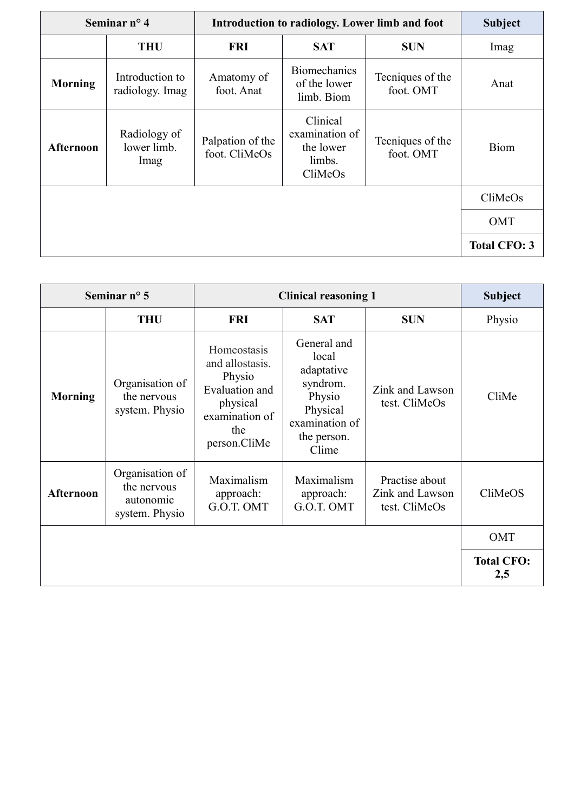|                  | Seminar $n^{\circ}$ 4               | Introduction to radiology. Lower limb and foot |                                                              | <b>Subject</b>                |                     |
|------------------|-------------------------------------|------------------------------------------------|--------------------------------------------------------------|-------------------------------|---------------------|
|                  | <b>THU</b>                          | <b>FRI</b>                                     | <b>SAT</b>                                                   | <b>SUN</b>                    | Imag                |
| <b>Morning</b>   | Introduction to<br>radiology. Imag  | Amatomy of<br>foot. Anat                       | <b>Biomechanics</b><br>of the lower<br>limb. Biom            | Tecniques of the<br>foot. OMT | Anat                |
| <b>Afternoon</b> | Radiology of<br>lower limb.<br>Imag | Palpation of the<br>foot. CliMeOs              | Clinical<br>examination of<br>the lower<br>limbs.<br>CliMeOs | Tecniques of the<br>foot. OMT | <b>Biom</b>         |
|                  |                                     |                                                |                                                              |                               | CliMeOs             |
|                  |                                     |                                                |                                                              |                               | <b>OMT</b>          |
|                  |                                     |                                                |                                                              |                               | <b>Total CFO: 3</b> |

|                  | Seminar $n^{\circ}$ 5                                         | <b>Clinical reasoning 1</b>                                                                                     |                                                                                                                |                                                    | <b>Subject</b>           |
|------------------|---------------------------------------------------------------|-----------------------------------------------------------------------------------------------------------------|----------------------------------------------------------------------------------------------------------------|----------------------------------------------------|--------------------------|
|                  | <b>THU</b>                                                    | <b>FRI</b>                                                                                                      | <b>SAT</b>                                                                                                     | <b>SUN</b>                                         | Physio                   |
| <b>Morning</b>   | Organisation of<br>the nervous<br>system. Physio              | Homeostasis<br>and allostasis.<br>Physio<br>Evaluation and<br>physical<br>examination of<br>the<br>person.CliMe | General and<br>local<br>adaptative<br>syndrom.<br>Physio<br>Physical<br>examination of<br>the person.<br>Clime | Zink and Lawson<br>test. CliMeOs                   | CliMe                    |
| <b>Afternoon</b> | Organisation of<br>the nervous<br>autonomic<br>system. Physio | Maximalism<br>approach:<br>G.O.T. OMT                                                                           | Maximalism<br>approach:<br>G.O.T. OMT                                                                          | Practise about<br>Zink and Lawson<br>test. CliMeOs | CliMeOS                  |
|                  |                                                               |                                                                                                                 |                                                                                                                |                                                    | OMT                      |
|                  |                                                               |                                                                                                                 |                                                                                                                |                                                    | <b>Total CFO:</b><br>2,5 |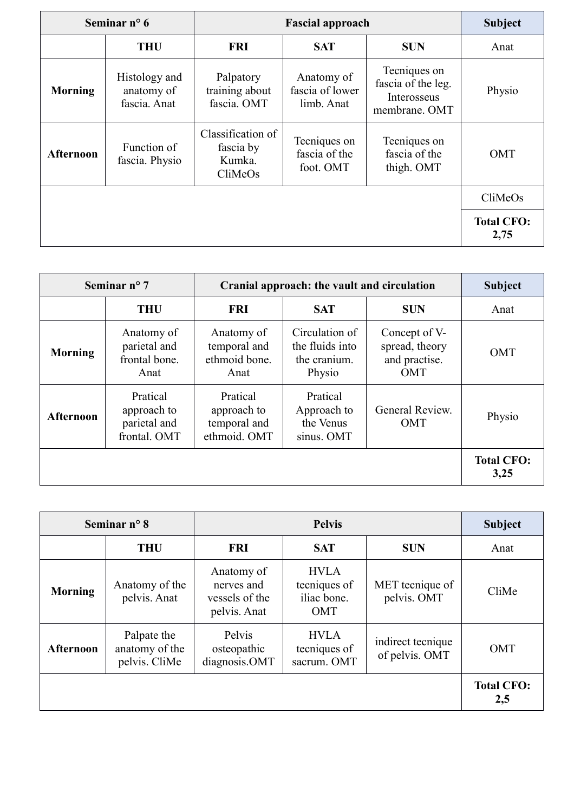|                  | Seminar $n^{\circ}$ 6                       | <b>Fascial approach</b>                             |                                             | <b>Subject</b>                                                     |                           |
|------------------|---------------------------------------------|-----------------------------------------------------|---------------------------------------------|--------------------------------------------------------------------|---------------------------|
|                  | <b>THU</b>                                  | <b>FRI</b>                                          | <b>SAT</b>                                  | <b>SUN</b>                                                         | Anat                      |
| <b>Morning</b>   | Histology and<br>anatomy of<br>fascia. Anat | Palpatory<br>training about<br>fascia. OMT          | Anatomy of<br>fascia of lower<br>limb. Anat | Tecniques on<br>fascia of the leg.<br>Interosseus<br>membrane. OMT | Physio                    |
| <b>Afternoon</b> | Function of<br>fascia. Physio               | Classification of<br>fascia by<br>Kumka.<br>CliMeOs | Tecniques on<br>fascia of the<br>foot. OMT  | Tecniques on<br>fascia of the<br>thigh. OMT                        | <b>OMT</b>                |
|                  |                                             |                                                     |                                             |                                                                    | CliMeOs                   |
|                  |                                             |                                                     |                                             |                                                                    | <b>Total CFO:</b><br>2,75 |

|                  | Seminar $n^{\circ}$ 7                                   | Cranial approach: the vault and circulation             |                                                             |                                                                | <b>Subject</b>            |
|------------------|---------------------------------------------------------|---------------------------------------------------------|-------------------------------------------------------------|----------------------------------------------------------------|---------------------------|
|                  | <b>THU</b>                                              | <b>FRI</b>                                              | <b>SAT</b>                                                  | <b>SUN</b>                                                     | Anat                      |
| <b>Morning</b>   | Anatomy of<br>parietal and<br>frontal bone.<br>Anat     | Anatomy of<br>temporal and<br>ethmoid bone.<br>Anat     | Circulation of<br>the fluids into<br>the cranium.<br>Physio | Concept of V-<br>spread, theory<br>and practise.<br><b>OMT</b> | OMT                       |
| <b>Afternoon</b> | Pratical<br>approach to<br>parietal and<br>frontal. OMT | Pratical<br>approach to<br>temporal and<br>ethmoid. OMT | Pratical<br>Approach to<br>the Venus<br>sinus. OMT          | General Review.<br><b>OMT</b>                                  | Physio                    |
|                  |                                                         |                                                         |                                                             |                                                                | <b>Total CFO:</b><br>3,25 |

| Seminar $n^{\circ}$ 8<br><b>Pelvis</b> |                                                |                                                            |                                                          | <b>Subject</b>                      |                          |
|----------------------------------------|------------------------------------------------|------------------------------------------------------------|----------------------------------------------------------|-------------------------------------|--------------------------|
|                                        | <b>THU</b>                                     | <b>FRI</b>                                                 | <b>SAT</b>                                               | <b>SUN</b>                          | Anat                     |
| <b>Morning</b>                         | Anatomy of the<br>pelvis. Anat                 | Anatomy of<br>nerves and<br>vessels of the<br>pelvis. Anat | <b>HVLA</b><br>tecniques of<br>iliac bone.<br><b>OMT</b> | MET tecnique of<br>pelvis. OMT      | CliMe                    |
| <b>Afternoon</b>                       | Palpate the<br>anatomy of the<br>pelvis. CliMe | Pelvis<br>osteopathic<br>diagnosis.OMT                     | <b>HVLA</b><br>tecniques of<br>sacrum. OMT               | indirect tecnique<br>of pelvis. OMT | <b>OMT</b>               |
|                                        |                                                |                                                            |                                                          |                                     | <b>Total CFO:</b><br>2,5 |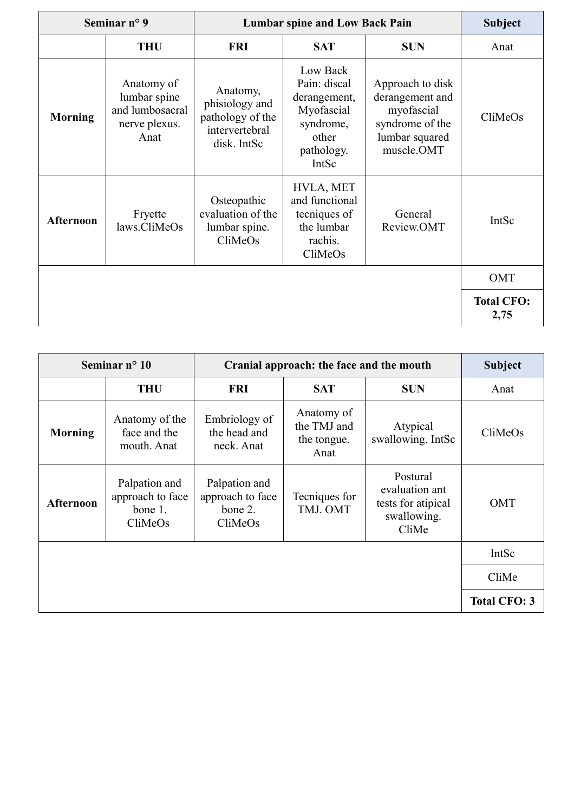| Seminar $n^{\circ}$ 9 |                                                                        |                                                                                 | <b>Lumbar spine and Low Back Pain</b>                                                               | <b>Subject</b>                                                                                       |                           |
|-----------------------|------------------------------------------------------------------------|---------------------------------------------------------------------------------|-----------------------------------------------------------------------------------------------------|------------------------------------------------------------------------------------------------------|---------------------------|
|                       | <b>THU</b>                                                             | <b>FRI</b>                                                                      | <b>SAT</b>                                                                                          | <b>SUN</b>                                                                                           | Anat                      |
| <b>Morning</b>        | Anatomy of<br>lumbar spine<br>and lumbosacral<br>nerve plexus.<br>Anat | Anatomy,<br>phisiology and<br>pathology of the<br>intervertebral<br>disk. IntSc | Low Back<br>Pain: discal<br>derangement,<br>Myofascial<br>syndrome,<br>other<br>pathology.<br>IntSc | Approach to disk<br>derangement and<br>myofascial<br>syndrome of the<br>lumbar squared<br>muscle.OMT | CliMeOs                   |
| <b>Afternoon</b>      | Fryette<br>laws.CliMeOs                                                | Osteopathic<br>evaluation of the<br>lumbar spine.<br>CliMeOs                    | HVLA, MET<br>and functional<br>tecniques of<br>the lumbar<br>rachis.<br>CliMeOs                     | General<br>Review.OMT                                                                                | IntSc                     |
|                       |                                                                        |                                                                                 |                                                                                                     |                                                                                                      | OMT                       |
|                       |                                                                        |                                                                                 |                                                                                                     |                                                                                                      | <b>Total CFO:</b><br>2,75 |

|                  | Seminar $n^{\circ}$ 10                                  | Cranial approach: the face and the mouth                |                                                  | <b>Subject</b>                                                           |                     |
|------------------|---------------------------------------------------------|---------------------------------------------------------|--------------------------------------------------|--------------------------------------------------------------------------|---------------------|
|                  | <b>THU</b>                                              | <b>FRI</b>                                              | <b>SAT</b>                                       | <b>SUN</b>                                                               | Anat                |
| <b>Morning</b>   | Anatomy of the<br>face and the<br>mouth. Anat           | Embriology of<br>the head and<br>neck. Anat             | Anatomy of<br>the TMJ and<br>the tongue.<br>Anat | Atypical<br>swallowing. IntSc                                            | CliMeOs             |
| <b>Afternoon</b> | Palpation and<br>approach to face<br>bone 1.<br>CliMeOs | Palpation and<br>approach to face<br>bone 2.<br>CliMeOs | Tecniques for<br>TMJ. OMT                        | Postural<br>evaluation ant<br>tests for atipical<br>swallowing.<br>CliMe | <b>OMT</b>          |
|                  |                                                         |                                                         |                                                  |                                                                          | IntSc               |
|                  |                                                         |                                                         |                                                  |                                                                          | CliMe               |
|                  |                                                         |                                                         |                                                  |                                                                          | <b>Total CFO: 3</b> |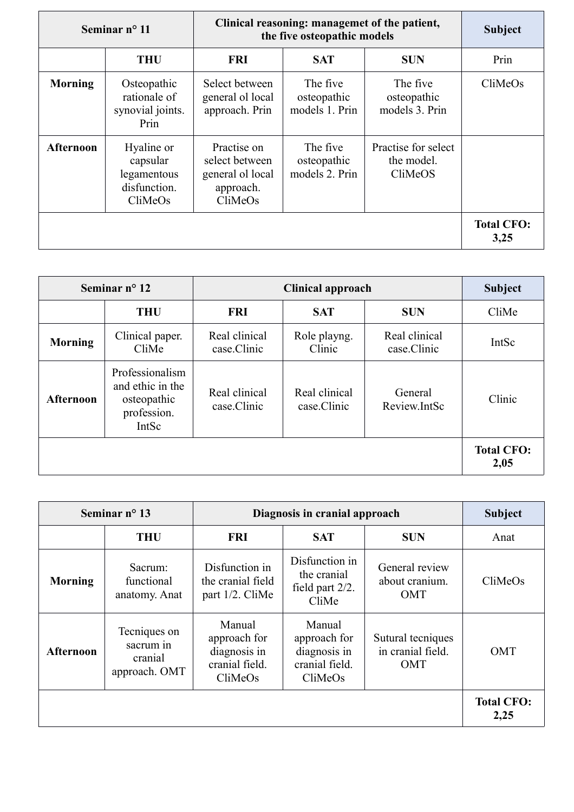|                  | Seminar $n^{\circ}$ 11                                           | Clinical reasoning: managemet of the patient,<br>the five osteopathic models |                                           |                                              | <b>Subject</b>            |
|------------------|------------------------------------------------------------------|------------------------------------------------------------------------------|-------------------------------------------|----------------------------------------------|---------------------------|
|                  | <b>THU</b>                                                       | <b>FRI</b>                                                                   | <b>SAT</b>                                | <b>SUN</b>                                   | Prin                      |
| <b>Morning</b>   | Osteopathic<br>rationale of<br>synovial joints.<br>Prin          | Select between<br>general ol local<br>approach. Prin                         | The five<br>osteopathic<br>models 1. Prin | The five<br>osteopathic<br>models 3. Prin    | CliMeOs                   |
| <b>Afternoon</b> | Hyaline or<br>capsular<br>legamentous<br>disfunction.<br>CliMeOs | Practise on<br>select between<br>general ol local<br>approach.<br>CliMeOs    | The five<br>osteopathic<br>models 2. Prin | Practise for select<br>the model.<br>CliMeOS |                           |
|                  |                                                                  |                                                                              |                                           |                                              | <b>Total CFO:</b><br>3,25 |

|                  | Seminar $n^{\circ}$ 12                                                     | <b>Clinical approach</b>     |                              |                              | <b>Subject</b>            |
|------------------|----------------------------------------------------------------------------|------------------------------|------------------------------|------------------------------|---------------------------|
|                  | <b>THU</b>                                                                 | <b>FRI</b>                   | <b>SAT</b>                   | <b>SUN</b>                   | CliMe                     |
| <b>Morning</b>   | Clinical paper.<br>CliMe                                                   | Real clinical<br>case.Clinic | Role playng.<br>Clinic       | Real clinical<br>case.Clinic | IntSc                     |
| <b>Afternoon</b> | Professionalism<br>and ethic in the<br>osteopathic<br>profession.<br>IntSc | Real clinical<br>case.Clinic | Real clinical<br>case.Clinic | General<br>Review.IntSc      | Clinic                    |
|                  |                                                                            |                              |                              |                              | <b>Total CFO:</b><br>2,05 |

|                  | Seminar $n^{\circ}$ 13                                |                                                                     | Diagnosis in cranial approach                                       |                                                      | <b>Subject</b>            |
|------------------|-------------------------------------------------------|---------------------------------------------------------------------|---------------------------------------------------------------------|------------------------------------------------------|---------------------------|
|                  | <b>THU</b>                                            | <b>FRI</b>                                                          | <b>SAT</b>                                                          | <b>SUN</b>                                           | Anat                      |
| <b>Morning</b>   | Sacrum:<br>functional<br>anatomy. Anat                | Disfunction in<br>the cranial field<br>part 1/2. CliMe              | Disfunction in<br>the cranial<br>field part 2/2.<br>CliMe           | General review<br>about cranium.<br><b>OMT</b>       | CliMeOs                   |
| <b>Afternoon</b> | Tecniques on<br>sacrum in<br>cranial<br>approach. OMT | Manual<br>approach for<br>diagnosis in<br>cranial field.<br>CliMeOs | Manual<br>approach for<br>diagnosis in<br>cranial field.<br>CliMeOs | Sutural tecniques<br>in cranial field.<br><b>OMT</b> | <b>OMT</b>                |
|                  |                                                       |                                                                     |                                                                     |                                                      | <b>Total CFO:</b><br>2,25 |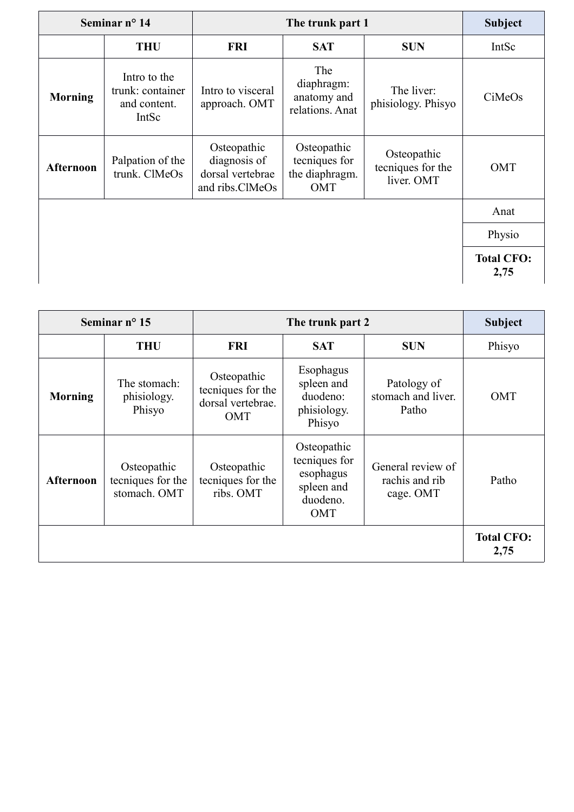|                  | Seminar nº 14<br>The trunk part 1                         |                                                                    | <b>Subject</b>                                               |                                                |                           |
|------------------|-----------------------------------------------------------|--------------------------------------------------------------------|--------------------------------------------------------------|------------------------------------------------|---------------------------|
|                  | <b>THU</b>                                                | <b>FRI</b>                                                         | <b>SAT</b>                                                   | <b>SUN</b>                                     | IntSc                     |
| <b>Morning</b>   | Intro to the<br>trunk: container<br>and content.<br>IntSc | Intro to visceral<br>approach. OMT                                 | The<br>diaphragm:<br>anatomy and<br>relations. Anat          | The liver:<br>phisiology. Phisyo               | CiMeOs                    |
| <b>Afternoon</b> | Palpation of the<br>trunk. ClMeOs                         | Osteopathic<br>diagnosis of<br>dorsal vertebrae<br>and ribs.ClMeOs | Osteopathic<br>tecniques for<br>the diaphragm.<br><b>OMT</b> | Osteopathic<br>tecniques for the<br>liver. OMT | <b>OMT</b>                |
|                  |                                                           |                                                                    |                                                              |                                                | Anat                      |
|                  |                                                           |                                                                    |                                                              |                                                | Physio                    |
|                  |                                                           |                                                                    |                                                              |                                                | <b>Total CFO:</b><br>2,75 |

|                | Seminar $n^{\circ}$ 15                           | The trunk part 2                                             |                                                                            | <b>Subject</b>                                   |                           |
|----------------|--------------------------------------------------|--------------------------------------------------------------|----------------------------------------------------------------------------|--------------------------------------------------|---------------------------|
|                | <b>THU</b>                                       | <b>FRI</b>                                                   | <b>SAT</b>                                                                 | <b>SUN</b>                                       | Phisyo                    |
| <b>Morning</b> | The stomach:<br>phisiology.<br>Phisyo            | Osteopathic<br>tecniques for the<br>dorsal vertebrae.<br>OMT | Esophagus<br>spleen and<br>duodeno:<br>phisiology.<br>Phisyo               | Patology of<br>stomach and liver.<br>Patho       | <b>OMT</b>                |
| Afternoon      | Osteopathic<br>tecniques for the<br>stomach. OMT | Osteopathic<br>tecniques for the<br>ribs. OMT                | Osteopathic<br>tecniques for<br>esophagus<br>spleen and<br>duodeno.<br>OMT | General review of<br>rachis and rib<br>cage. OMT | Patho                     |
|                |                                                  |                                                              |                                                                            |                                                  | <b>Total CFO:</b><br>2,75 |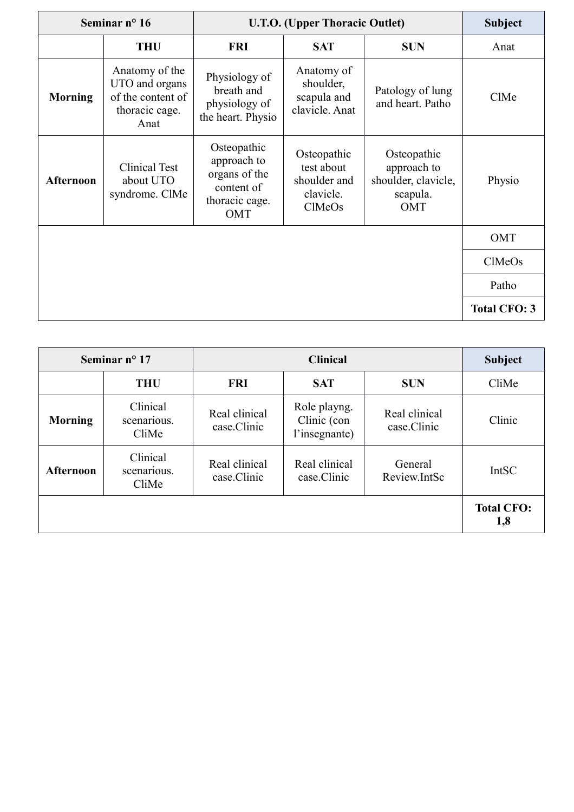| Seminar nº 16  |                                                                                 |                                                                                    | <b>U.T.O.</b> (Upper Thoracic Outlet)                            | <b>Subject</b>                                                       |                     |
|----------------|---------------------------------------------------------------------------------|------------------------------------------------------------------------------------|------------------------------------------------------------------|----------------------------------------------------------------------|---------------------|
|                | <b>THU</b>                                                                      | <b>FRI</b>                                                                         | <b>SAT</b>                                                       | <b>SUN</b>                                                           | Anat                |
| <b>Morning</b> | Anatomy of the<br>UTO and organs<br>of the content of<br>thoracic cage.<br>Anat | Physiology of<br>breath and<br>physiology of<br>the heart. Physio                  | Anatomy of<br>shoulder,<br>scapula and<br>clavicle. Anat         | Patology of lung<br>and heart. Patho                                 | ClMe                |
| Afternoon      | <b>Clinical Test</b><br>about UTO<br>syndrome. ClMe                             | Osteopathic<br>approach to<br>organs of the<br>content of<br>thoracic cage.<br>OMT | Osteopathic<br>test about<br>shoulder and<br>clavicle.<br>ClMeOs | Osteopathic<br>approach to<br>shoulder, clavicle,<br>scapula.<br>OMT | Physio              |
|                |                                                                                 |                                                                                    |                                                                  |                                                                      | OMT                 |
|                |                                                                                 |                                                                                    |                                                                  |                                                                      | ClMeOs              |
|                |                                                                                 |                                                                                    |                                                                  |                                                                      | Patho               |
|                |                                                                                 |                                                                                    |                                                                  |                                                                      | <b>Total CFO: 3</b> |

| Seminar $n^{\circ}$ 17 |                                  |                              | <b>Subject</b>                               |                              |                          |
|------------------------|----------------------------------|------------------------------|----------------------------------------------|------------------------------|--------------------------|
|                        | <b>THU</b>                       | <b>FRI</b>                   | <b>SAT</b>                                   | <b>SUN</b>                   | CliMe                    |
| <b>Morning</b>         | Clinical<br>scenarious.<br>CliMe | Real clinical<br>case.Clinic | Role playng.<br>Clinic (con<br>l'insegnante) | Real clinical<br>case.Clinic | Clinic                   |
| <b>Afternoon</b>       | Clinical<br>scenarious.<br>CliMe | Real clinical<br>case.Clinic | Real clinical<br>case.Clinic                 | General<br>Review.IntSc      | <b>IntSC</b>             |
|                        |                                  |                              |                                              |                              | <b>Total CFO:</b><br>1,8 |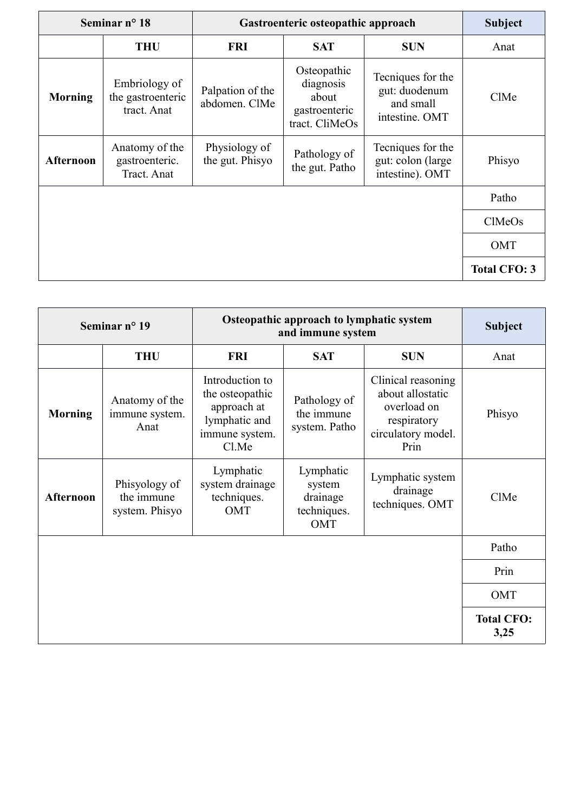| Seminar $n^{\circ}$ 18<br>Gastroenteric osteopathic approach |                                                   | <b>Subject</b>                    |                                                                      |                                                                   |                     |
|--------------------------------------------------------------|---------------------------------------------------|-----------------------------------|----------------------------------------------------------------------|-------------------------------------------------------------------|---------------------|
|                                                              | <b>THU</b>                                        | <b>FRI</b>                        | <b>SAT</b>                                                           | <b>SUN</b>                                                        | Anat                |
| <b>Morning</b>                                               | Embriology of<br>the gastroenteric<br>tract. Anat | Palpation of the<br>abdomen. ClMe | Osteopathic<br>diagnosis<br>about<br>gastroenteric<br>tract. CliMeOs | Tecniques for the<br>gut: duodenum<br>and small<br>intestine. OMT | ClMe                |
| Afternoon                                                    | Anatomy of the<br>gastroenteric.<br>Tract. Anat   | Physiology of<br>the gut. Phisyo  | Pathology of<br>the gut. Patho                                       | Tecniques for the<br>gut: colon (large<br>intestine). OMT         | Phisyo              |
|                                                              |                                                   |                                   |                                                                      |                                                                   | Patho               |
|                                                              |                                                   |                                   |                                                                      |                                                                   | ClMeOs              |
|                                                              |                                                   |                                   |                                                                      |                                                                   | <b>OMT</b>          |
|                                                              |                                                   |                                   |                                                                      |                                                                   | <b>Total CFO: 3</b> |

| Osteopathic approach to lymphatic system<br>Seminar nº 19<br>and immune system |                                               |                                                                                               | <b>Subject</b>                                        |                                                                                                    |                           |
|--------------------------------------------------------------------------------|-----------------------------------------------|-----------------------------------------------------------------------------------------------|-------------------------------------------------------|----------------------------------------------------------------------------------------------------|---------------------------|
|                                                                                | <b>THU</b>                                    | <b>FRI</b>                                                                                    | <b>SAT</b>                                            | <b>SUN</b>                                                                                         | Anat                      |
| <b>Morning</b>                                                                 | Anatomy of the<br>immune system.<br>Anat      | Introduction to<br>the osteopathic<br>approach at<br>lymphatic and<br>immune system.<br>Cl.Me | Pathology of<br>the immune<br>system. Patho           | Clinical reasoning<br>about allostatic<br>overload on<br>respiratory<br>circulatory model.<br>Prin | Phisyo                    |
| Afternoon                                                                      | Phisyology of<br>the immune<br>system. Phisyo | Lymphatic<br>system drainage<br>techniques.<br>OMT                                            | Lymphatic<br>system<br>drainage<br>techniques.<br>OMT | Lymphatic system<br>drainage<br>techniques. OMT                                                    | ClMe                      |
|                                                                                |                                               |                                                                                               |                                                       |                                                                                                    | Patho                     |
|                                                                                |                                               |                                                                                               |                                                       |                                                                                                    | Prin                      |
|                                                                                |                                               |                                                                                               |                                                       |                                                                                                    | OMT                       |
|                                                                                |                                               |                                                                                               |                                                       |                                                                                                    | <b>Total CFO:</b><br>3,25 |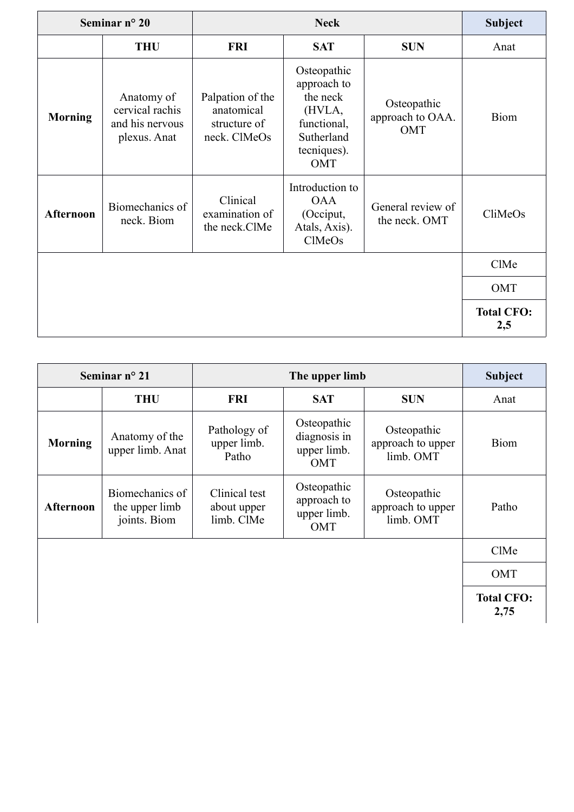| Seminar $n^{\circ}$ 20 |                                                                  |                                                                | <b>Subject</b>                                                                                      |                                        |                          |
|------------------------|------------------------------------------------------------------|----------------------------------------------------------------|-----------------------------------------------------------------------------------------------------|----------------------------------------|--------------------------|
|                        | <b>THU</b>                                                       | <b>FRI</b>                                                     | <b>SAT</b>                                                                                          | <b>SUN</b>                             | Anat                     |
| <b>Morning</b>         | Anatomy of<br>cervical rachis<br>and his nervous<br>plexus. Anat | Palpation of the<br>anatomical<br>structure of<br>neck. ClMeOs | Osteopathic<br>approach to<br>the neck<br>(HVLA,<br>functional,<br>Sutherland<br>tecniques).<br>OMT | Osteopathic<br>approach to OAA.<br>OMT | Biom                     |
| <b>Afternoon</b>       | Biomechanics of<br>neck. Biom                                    | Clinical<br>examination of<br>the neck.ClMe                    | Introduction to<br><b>OAA</b><br>(Occiput,<br>Atals, Axis).<br>ClMeOs                               | General review of<br>the neck. OMT     | CliMeOs                  |
|                        |                                                                  |                                                                |                                                                                                     |                                        | ClMe                     |
|                        |                                                                  |                                                                |                                                                                                     |                                        | OMT                      |
|                        |                                                                  |                                                                |                                                                                                     |                                        | <b>Total CFO:</b><br>2,5 |

| Seminar $n^{\circ}$ 21 |                                                   |                                            | <b>Subject</b>                                    |                                               |                           |
|------------------------|---------------------------------------------------|--------------------------------------------|---------------------------------------------------|-----------------------------------------------|---------------------------|
|                        | <b>THU</b>                                        | <b>FRI</b>                                 | <b>SAT</b>                                        | <b>SUN</b>                                    | Anat                      |
| <b>Morning</b>         | Anatomy of the<br>upper limb. Anat                | Pathology of<br>upper limb.<br>Patho       | Osteopathic<br>diagnosis in<br>upper limb.<br>OMT | Osteopathic<br>approach to upper<br>limb. OMT | <b>Biom</b>               |
| Afternoon              | Biomechanics of<br>the upper limb<br>joints. Biom | Clinical test<br>about upper<br>limb. ClMe | Osteopathic<br>approach to<br>upper limb.<br>OMT  | Osteopathic<br>approach to upper<br>limb. OMT | Patho                     |
|                        |                                                   |                                            |                                                   |                                               | ClMe                      |
|                        |                                                   |                                            |                                                   |                                               | <b>OMT</b>                |
|                        |                                                   |                                            |                                                   |                                               | <b>Total CFO:</b><br>2,75 |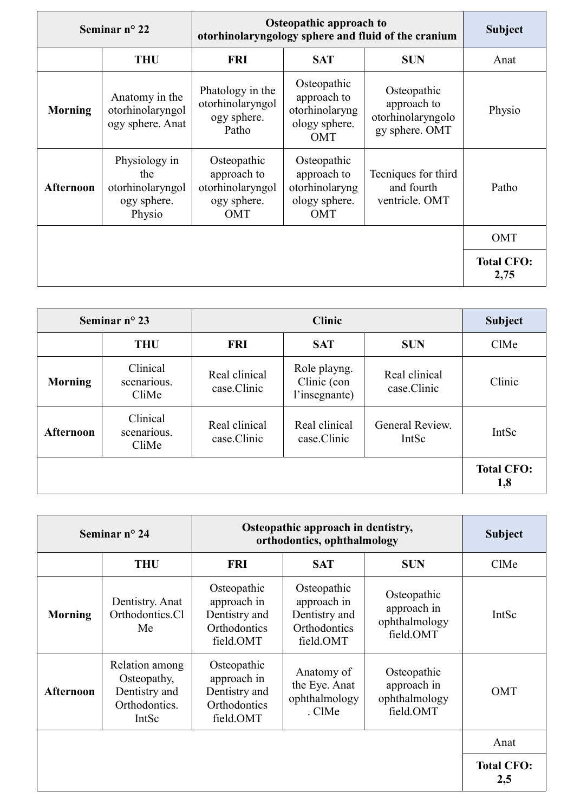|                | Seminar $n^{\circ}$ 22                                            |                                                                      | <b>Osteopathic approach to</b><br>otorhinolaryngology sphere and fluid of the cranium |                                                                   | <b>Subject</b>            |
|----------------|-------------------------------------------------------------------|----------------------------------------------------------------------|---------------------------------------------------------------------------------------|-------------------------------------------------------------------|---------------------------|
|                | <b>THU</b>                                                        | <b>FRI</b>                                                           | <b>SAT</b>                                                                            | <b>SUN</b>                                                        | Anat                      |
| <b>Morning</b> | Anatomy in the<br>otorhinolaryngol<br>ogy sphere. Anat            | Phatology in the<br>otorhinolaryngol<br>ogy sphere.<br>Patho         | Osteopathic<br>approach to<br>otorhinolaryng<br>ology sphere.<br><b>OMT</b>           | Osteopathic<br>approach to<br>otorhinolaryngolo<br>gy sphere. OMT | Physio                    |
| Afternoon      | Physiology in<br>the<br>otorhinolaryngol<br>ogy sphere.<br>Physio | Osteopathic<br>approach to<br>otorhinolaryngol<br>ogy sphere.<br>OMT | Osteopathic<br>approach to<br>otorhinolaryng<br>ology sphere.<br><b>OMT</b>           | Tecniques for third<br>and fourth<br>ventricle. OMT               | Patho                     |
|                |                                                                   |                                                                      |                                                                                       |                                                                   | OMT                       |
|                |                                                                   |                                                                      |                                                                                       |                                                                   | <b>Total CFO:</b><br>2,75 |

|                  | Seminar $n^{\circ}$ 23<br><b>Clinic</b> |                              | <b>Subject</b>                               |                              |                          |
|------------------|-----------------------------------------|------------------------------|----------------------------------------------|------------------------------|--------------------------|
|                  | <b>THU</b>                              | <b>FRI</b>                   | <b>SAT</b>                                   | <b>SUN</b>                   | ClMe                     |
| <b>Morning</b>   | Clinical<br>scenarious.<br>CliMe        | Real clinical<br>case.Clinic | Role playng.<br>Clinic (con<br>l'insegnante) | Real clinical<br>case.Clinic | Clinic                   |
| <b>Afternoon</b> | Clinical<br>scenarious.<br>CliMe        | Real clinical<br>case.Clinic | Real clinical<br>case.Clinic                 | General Review.<br>IntSc     | IntSc                    |
|                  |                                         |                              |                                              |                              | <b>Total CFO:</b><br>1,8 |

| Seminar nº 24    |                                                                          | Osteopathic approach in dentistry,<br>orthodontics, ophthalmology        | <b>Subject</b>                                                           |                                                          |                          |
|------------------|--------------------------------------------------------------------------|--------------------------------------------------------------------------|--------------------------------------------------------------------------|----------------------------------------------------------|--------------------------|
|                  | <b>THU</b>                                                               | <b>FRI</b>                                                               | <b>SAT</b>                                                               | <b>SUN</b>                                               | ClMe                     |
| <b>Morning</b>   | Dentistry. Anat<br>Orthodontics.Cl<br>Me                                 | Osteopathic<br>approach in<br>Dentistry and<br>Orthodontics<br>field.OMT | Osteopathic<br>approach in<br>Dentistry and<br>Orthodontics<br>field.OMT | Osteopathic<br>approach in<br>ophthalmology<br>field.OMT | IntSc                    |
| <b>Afternoon</b> | Relation among<br>Osteopathy,<br>Dentistry and<br>Orthodontics.<br>IntSc | Osteopathic<br>approach in<br>Dentistry and<br>Orthodontics<br>field.OMT | Anatomy of<br>the Eye. Anat<br>ophthalmology<br>. ClMe                   | Osteopathic<br>approach in<br>ophthalmology<br>field.OMT | <b>OMT</b>               |
|                  |                                                                          |                                                                          |                                                                          |                                                          | Anat                     |
|                  |                                                                          |                                                                          |                                                                          |                                                          | <b>Total CFO:</b><br>2,5 |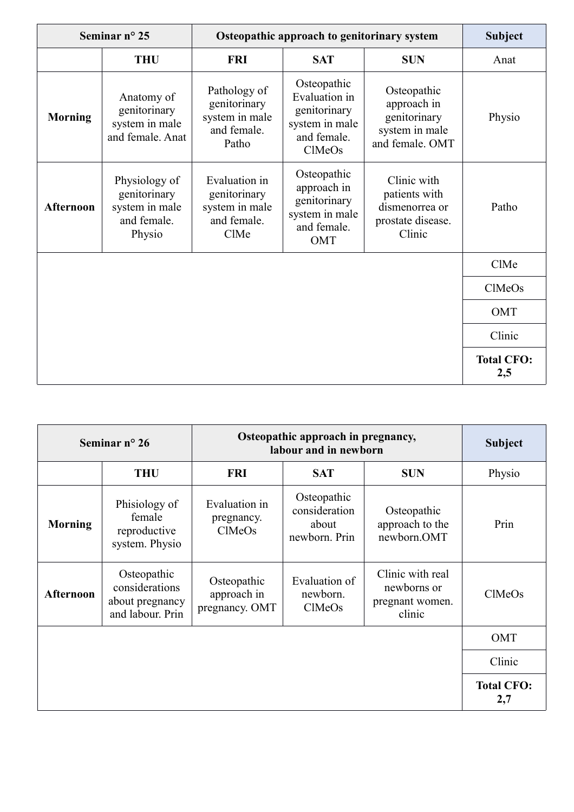| Seminar nº 25    |                                                                          | Osteopathic approach to genitorinary system                            | <b>Subject</b>                                                                          |                                                                                 |                          |
|------------------|--------------------------------------------------------------------------|------------------------------------------------------------------------|-----------------------------------------------------------------------------------------|---------------------------------------------------------------------------------|--------------------------|
|                  | <b>THU</b>                                                               | <b>FRI</b>                                                             | <b>SAT</b>                                                                              | <b>SUN</b>                                                                      | Anat                     |
| <b>Morning</b>   | Anatomy of<br>genitorinary<br>system in male<br>and female. Anat         | Pathology of<br>genitorinary<br>system in male<br>and female.<br>Patho | Osteopathic<br>Evaluation in<br>genitorinary<br>system in male<br>and female.<br>ClMeOs | Osteopathic<br>approach in<br>genitorinary<br>system in male<br>and female. OMT | Physio                   |
| <b>Afternoon</b> | Physiology of<br>genitorinary<br>system in male<br>and female.<br>Physio | Evaluation in<br>genitorinary<br>system in male<br>and female.<br>ClMe | Osteopathic<br>approach in<br>genitorinary<br>system in male<br>and female.<br>OMT      | Clinic with<br>patients with<br>dismenorrea or<br>prostate disease.<br>Clinic   | Patho                    |
|                  |                                                                          |                                                                        |                                                                                         |                                                                                 | ClMe                     |
|                  |                                                                          |                                                                        |                                                                                         |                                                                                 | ClMeOs                   |
|                  |                                                                          |                                                                        |                                                                                         |                                                                                 | OMT                      |
|                  |                                                                          |                                                                        |                                                                                         |                                                                                 | Clinic                   |
|                  |                                                                          |                                                                        |                                                                                         |                                                                                 | <b>Total CFO:</b><br>2,5 |

| Seminar $n^{\circ} 26$ |                                                                      | Osteopathic approach in pregnancy,<br>labour and in newborn |                                                        |                                                              | <b>Subject</b>           |
|------------------------|----------------------------------------------------------------------|-------------------------------------------------------------|--------------------------------------------------------|--------------------------------------------------------------|--------------------------|
|                        | <b>THU</b>                                                           | <b>FRI</b>                                                  | <b>SAT</b>                                             | <b>SUN</b>                                                   | Physio                   |
| <b>Morning</b>         | Phisiology of<br>female<br>reproductive<br>system. Physio            | Evaluation in<br>pregnancy.<br><b>ClMeOs</b>                | Osteopathic<br>consideration<br>about<br>newborn. Prin | Osteopathic<br>approach to the<br>newborn.OMT                | Prin                     |
| <b>Afternoon</b>       | Osteopathic<br>considerations<br>about pregnancy<br>and labour. Prin | Osteopathic<br>approach in<br>pregnancy. OMT                | Evaluation of<br>newborn.<br>ClMeOs                    | Clinic with real<br>newborns or<br>pregnant women.<br>clinic | ClMeOs                   |
|                        |                                                                      |                                                             |                                                        |                                                              | OMT                      |
|                        |                                                                      |                                                             |                                                        |                                                              | Clinic                   |
|                        |                                                                      |                                                             |                                                        |                                                              | <b>Total CFO:</b><br>2,7 |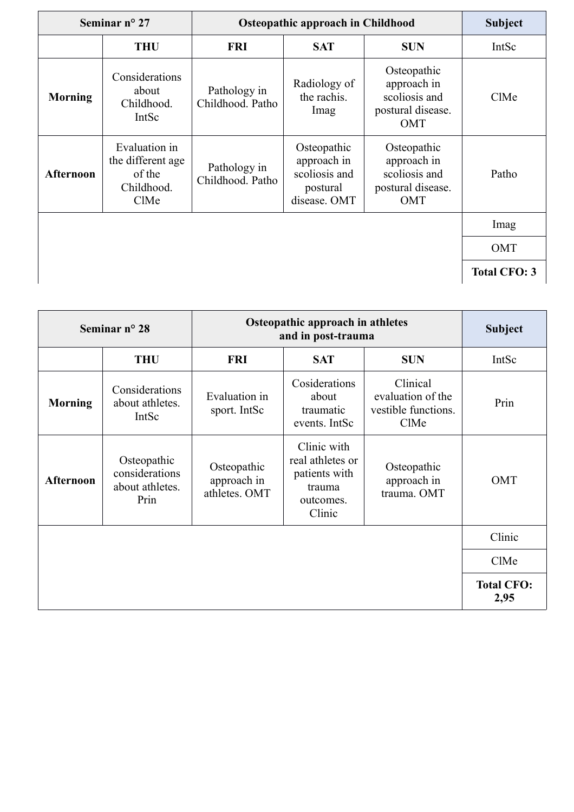| Seminar nº 27    |                                                                    | <b>Osteopathic approach in Childhood</b> |                                                                         |                                                                                | <b>Subject</b>      |
|------------------|--------------------------------------------------------------------|------------------------------------------|-------------------------------------------------------------------------|--------------------------------------------------------------------------------|---------------------|
|                  | <b>THU</b>                                                         | <b>FRI</b>                               | <b>SAT</b>                                                              | <b>SUN</b>                                                                     | IntSc               |
| <b>Morning</b>   | Considerations<br>about<br>Childhood.<br>IntSc                     | Pathology in<br>Childhood. Patho         | Radiology of<br>the rachis.<br>Imag                                     | Osteopathic<br>approach in<br>scoliosis and<br>postural disease.<br><b>OMT</b> | ClMe                |
| <b>Afternoon</b> | Evaluation in<br>the different age<br>of the<br>Childhood.<br>ClMe | Pathology in<br>Childhood. Patho         | Osteopathic<br>approach in<br>scoliosis and<br>postural<br>disease. OMT | Osteopathic<br>approach in<br>scoliosis and<br>postural disease.<br>OMT        | Patho               |
|                  |                                                                    |                                          |                                                                         |                                                                                | Imag                |
|                  |                                                                    |                                          |                                                                         |                                                                                | OMT                 |
|                  |                                                                    |                                          |                                                                         |                                                                                | <b>Total CFO: 3</b> |

| Seminar $n^{\circ}$ 28 |                                                          | Osteopathic approach in athletes<br>and in post-trauma |                                                                                   |                                                              | <b>Subject</b>            |
|------------------------|----------------------------------------------------------|--------------------------------------------------------|-----------------------------------------------------------------------------------|--------------------------------------------------------------|---------------------------|
|                        | <b>THU</b>                                               | <b>FRI</b>                                             | <b>SAT</b>                                                                        | <b>SUN</b>                                                   | IntSc                     |
| <b>Morning</b>         | Considerations<br>about athletes.<br>IntSc               | Evaluation in<br>sport. IntSc                          | Cosiderations<br>about<br>traumatic<br>events. IntSc                              | Clinical<br>evaluation of the<br>vestible functions.<br>ClMe | Prin                      |
| <b>Afternoon</b>       | Osteopathic<br>considerations<br>about athletes.<br>Prin | Osteopathic<br>approach in<br>athletes. OMT            | Clinic with<br>real athletes or<br>patients with<br>trauma<br>outcomes.<br>Clinic | Osteopathic<br>approach in<br>trauma. OMT                    | <b>OMT</b>                |
|                        |                                                          |                                                        |                                                                                   |                                                              | Clinic                    |
|                        |                                                          |                                                        |                                                                                   |                                                              | ClMe                      |
|                        |                                                          |                                                        |                                                                                   |                                                              | <b>Total CFO:</b><br>2,95 |